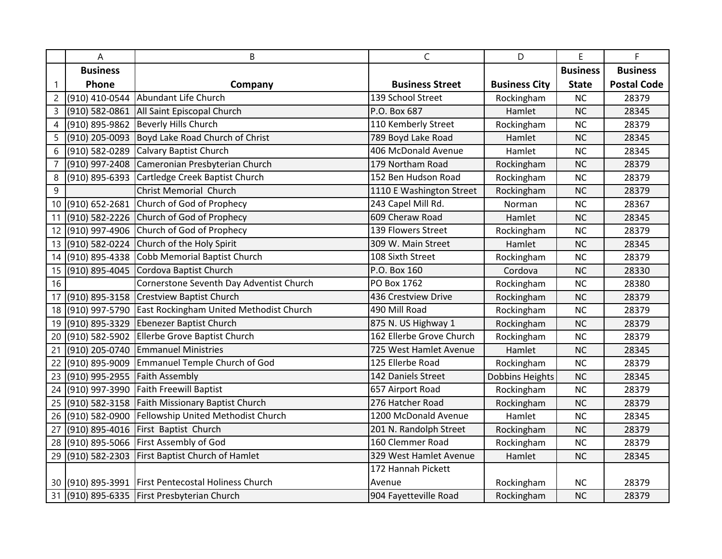|    | A               | B                                                   | $\mathsf C$              | D                      | E               | F.                 |
|----|-----------------|-----------------------------------------------------|--------------------------|------------------------|-----------------|--------------------|
|    | <b>Business</b> |                                                     |                          |                        | <b>Business</b> | <b>Business</b>    |
| 1  | Phone           | Company                                             | <b>Business Street</b>   | <b>Business City</b>   | <b>State</b>    | <b>Postal Code</b> |
| 2  | (910) 410-0544  | Abundant Life Church                                | 139 School Street        | Rockingham             | <b>NC</b>       | 28379              |
| 3  | (910) 582-0861  | All Saint Episcopal Church                          | P.O. Box 687             | Hamlet                 | <b>NC</b>       | 28345              |
| 4  | (910) 895-9862  | Beverly Hills Church                                | 110 Kemberly Street      | Rockingham             | <b>NC</b>       | 28379              |
| 5  | (910) 205-0093  | Boyd Lake Road Church of Christ                     | 789 Boyd Lake Road       | Hamlet                 | <b>NC</b>       | 28345              |
| 6  | (910) 582-0289  | <b>Calvary Baptist Church</b>                       | 406 McDonald Avenue      | Hamlet                 | <b>NC</b>       | 28345              |
| 7  | (910) 997-2408  | Cameronian Presbyterian Church                      | 179 Northam Road         | Rockingham             | <b>NC</b>       | 28379              |
| 8  | (910) 895-6393  | Cartledge Creek Baptist Church                      | 152 Ben Hudson Road      | Rockingham             | <b>NC</b>       | 28379              |
| 9  |                 | <b>Christ Memorial Church</b>                       | 1110 E Washington Street | Rockingham             | <b>NC</b>       | 28379              |
| 10 | (910) 652-2681  | Church of God of Prophecy                           | 243 Capel Mill Rd.       | Norman                 | <b>NC</b>       | 28367              |
| 11 | (910) 582-2226  | Church of God of Prophecy                           | 609 Cheraw Road          | Hamlet                 | <b>NC</b>       | 28345              |
| 12 | (910) 997-4906  | Church of God of Prophecy                           | 139 Flowers Street       | Rockingham             | <b>NC</b>       | 28379              |
| 13 | (910) 582-0224  | Church of the Holy Spirit                           | 309 W. Main Street       | Hamlet                 | <b>NC</b>       | 28345              |
| 14 | (910) 895-4338  | <b>Cobb Memorial Baptist Church</b>                 | 108 Sixth Street         | Rockingham             | <b>NC</b>       | 28379              |
| 15 | (910) 895-4045  | Cordova Baptist Church                              | P.O. Box 160             | Cordova                | <b>NC</b>       | 28330              |
| 16 |                 | Cornerstone Seventh Day Adventist Church            | PO Box 1762              | Rockingham             | <b>NC</b>       | 28380              |
| 17 |                 | (910) 895-3158 Crestview Baptist Church             | 436 Crestview Drive      | Rockingham             | <b>NC</b>       | 28379              |
| 18 | (910) 997-5790  | <b>East Rockingham United Methodist Church</b>      | 490 Mill Road            | Rockingham             | <b>NC</b>       | 28379              |
| 19 | (910) 895-3329  | <b>Ebenezer Baptist Church</b>                      | 875 N. US Highway 1      | Rockingham             | <b>NC</b>       | 28379              |
| 20 | (910) 582-5902  | Ellerbe Grove Baptist Church                        | 162 Ellerbe Grove Church | Rockingham             | <b>NC</b>       | 28379              |
| 21 | (910) 205-0740  | <b>Emmanuel Ministries</b>                          | 725 West Hamlet Avenue   | Hamlet                 | <b>NC</b>       | 28345              |
| 22 | (910) 895-9009  | Emmanuel Temple Church of God                       | 125 Ellerbe Road         | Rockingham             | <b>NC</b>       | 28379              |
| 23 | (910) 995-2955  | <b>Faith Assembly</b>                               | 142 Daniels Street       | <b>Dobbins Heights</b> | <b>NC</b>       | 28345              |
| 24 | (910) 997-3990  | <b>Faith Freewill Baptist</b>                       | 657 Airport Road         | Rockingham             | <b>NC</b>       | 28379              |
| 25 | (910) 582-3158  | Faith Missionary Baptist Church                     | 276 Hatcher Road         | Rockingham             | <b>NC</b>       | 28379              |
| 26 | (910) 582-0900  | Fellowship United Methodist Church                  | 1200 McDonald Avenue     | Hamlet                 | <b>NC</b>       | 28345              |
| 27 | (910) 895-4016  | First Baptist Church                                | 201 N. Randolph Street   | Rockingham             | <b>NC</b>       | 28379              |
| 28 | (910) 895-5066  | First Assembly of God                               | 160 Clemmer Road         | Rockingham             | <b>NC</b>       | 28379              |
| 29 | (910) 582-2303  | First Baptist Church of Hamlet                      | 329 West Hamlet Avenue   | Hamlet                 | <b>NC</b>       | 28345              |
|    |                 |                                                     | 172 Hannah Pickett       |                        |                 |                    |
|    |                 | 30 (910) 895-3991 First Pentecostal Holiness Church | Avenue                   | Rockingham             | <b>NC</b>       | 28379              |
|    |                 | 31 (910) 895-6335 First Presbyterian Church         | 904 Fayetteville Road    | Rockingham             | <b>NC</b>       | 28379              |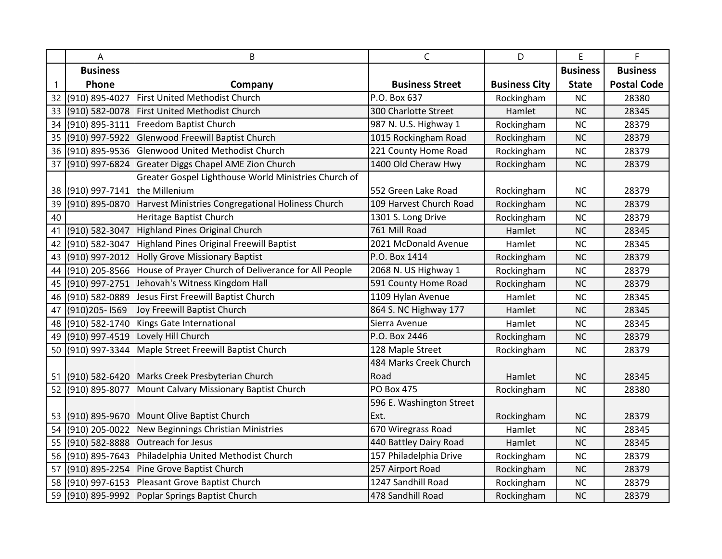|    | A                            | B                                                    | C                        | D                    | E               | F                  |
|----|------------------------------|------------------------------------------------------|--------------------------|----------------------|-----------------|--------------------|
|    | <b>Business</b>              |                                                      |                          |                      | <b>Business</b> | <b>Business</b>    |
| 1  | Phone                        | Company                                              | <b>Business Street</b>   | <b>Business City</b> | <b>State</b>    | <b>Postal Code</b> |
| 32 | (910) 895-4027               | <b>First United Methodist Church</b>                 | P.O. Box 637             | Rockingham           | <b>NC</b>       | 28380              |
| 33 | (910) 582-0078               | <b>First United Methodist Church</b>                 | 300 Charlotte Street     | Hamlet               | <b>NC</b>       | 28345              |
| 34 | (910) 895-3111               | Freedom Baptist Church                               | 987 N. U.S. Highway 1    | Rockingham           | <b>NC</b>       | 28379              |
| 35 | (910) 997-5922               | Glenwood Freewill Baptist Church                     | 1015 Rockingham Road     | Rockingham           | <b>NC</b>       | 28379              |
| 36 | (910) 895-9536               | Glenwood United Methodist Church                     | 221 County Home Road     | Rockingham           | <b>NC</b>       | 28379              |
| 37 | (910) 997-6824               | Greater Diggs Chapel AME Zion Church                 | 1400 Old Cheraw Hwy      | Rockingham           | <b>NC</b>       | 28379              |
|    |                              | Greater Gospel Lighthouse World Ministries Church of |                          |                      |                 |                    |
| 38 | (910) 997-7141 the Millenium |                                                      | 552 Green Lake Road      | Rockingham           | <b>NC</b>       | 28379              |
| 39 | (910) 895-0870               | Harvest Ministries Congregational Holiness Church    | 109 Harvest Church Road  | Rockingham           | <b>NC</b>       | 28379              |
| 40 |                              | Heritage Baptist Church                              | 1301 S. Long Drive       | Rockingham           | <b>NC</b>       | 28379              |
| 41 | (910) 582-3047               | Highland Pines Original Church                       | 761 Mill Road            | Hamlet               | <b>NC</b>       | 28345              |
| 42 | (910) 582-3047               | Highland Pines Original Freewill Baptist             | 2021 McDonald Avenue     | Hamlet               | <b>NC</b>       | 28345              |
| 43 | (910) 997-2012               | <b>Holly Grove Missionary Baptist</b>                | P.O. Box 1414            | Rockingham           | <b>NC</b>       | 28379              |
| 44 | (910) 205-8566               | House of Prayer Church of Deliverance for All People | 2068 N. US Highway 1     | Rockingham           | <b>NC</b>       | 28379              |
| 45 | (910) 997-2751               | Jehovah's Witness Kingdom Hall                       | 591 County Home Road     | Rockingham           | <b>NC</b>       | 28379              |
| 46 | (910) 582-0889               | Jesus First Freewill Baptist Church                  | 1109 Hylan Avenue        | Hamlet               | <b>NC</b>       | 28345              |
| 47 | (910) 205 - 1569             | Joy Freewill Baptist Church                          | 864 S. NC Highway 177    | Hamlet               | <b>NC</b>       | 28345              |
| 48 | (910) 582-1740               | Kings Gate International                             | Sierra Avenue            | Hamlet               | <b>NC</b>       | 28345              |
| 49 | (910) 997-4519               | Lovely Hill Church                                   | P.O. Box 2446            | Rockingham           | <b>NC</b>       | 28379              |
| 50 | (910) 997-3344               | Maple Street Freewill Baptist Church                 | 128 Maple Street         | Rockingham           | <b>NC</b>       | 28379              |
|    |                              |                                                      | 484 Marks Creek Church   |                      |                 |                    |
| 51 |                              | (910) 582-6420 Marks Creek Presbyterian Church       | Road                     | Hamlet               | <b>NC</b>       | 28345              |
| 52 | (910) 895-8077               | Mount Calvary Missionary Baptist Church              | <b>PO Box 475</b>        | Rockingham           | <b>NC</b>       | 28380              |
|    |                              |                                                      | 596 E. Washington Street |                      |                 |                    |
| 53 |                              | (910) 895-9670 Mount Olive Baptist Church            | Ext.                     | Rockingham           | <b>NC</b>       | 28379              |
| 54 | (910) 205-0022               | New Beginnings Christian Ministries                  | 670 Wiregrass Road       | Hamlet               | <b>NC</b>       | 28345              |
| 55 | (910) 582-8888               | Outreach for Jesus                                   | 440 Battley Dairy Road   | Hamlet               | <b>NC</b>       | 28345              |
| 56 | (910) 895-7643               | Philadelphia United Methodist Church                 | 157 Philadelphia Drive   | Rockingham           | <b>NC</b>       | 28379              |
| 57 | (910) 895-2254               | Pine Grove Baptist Church                            | 257 Airport Road         | Rockingham           | <b>NC</b>       | 28379              |
| 58 | (910) 997-6153               | Pleasant Grove Baptist Church                        | 1247 Sandhill Road       | Rockingham           | <b>NC</b>       | 28379              |
| 59 |                              | (910) 895-9992 Poplar Springs Baptist Church         | 478 Sandhill Road        | Rockingham           | <b>NC</b>       | 28379              |